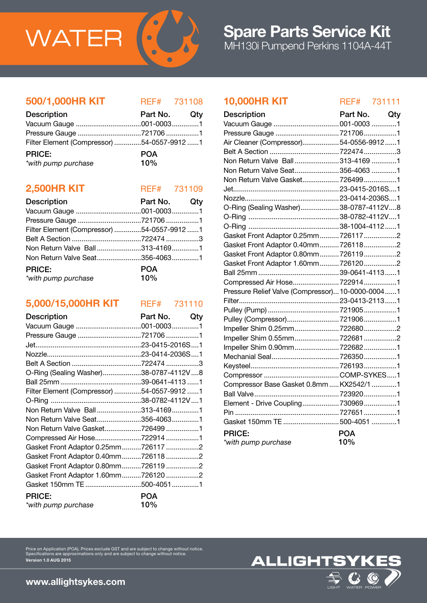

## 500/1,000HR KIT REF# 731108

| <b>Description</b>                         | Part No. Qty |  |
|--------------------------------------------|--------------|--|
|                                            |              |  |
|                                            |              |  |
| Filter Element (Compressor) 54-0557-9912 1 |              |  |
| <b>PRICE:</b>                              | <b>POA</b>   |  |
| *with pump purchase                        | 10%          |  |

## **2,500HR KIT** REF# 731109

| <b>Description</b>                         | Part No. Qty |  |
|--------------------------------------------|--------------|--|
|                                            |              |  |
|                                            |              |  |
| Filter Element (Compressor) 54-0557-9912 1 |              |  |
|                                            |              |  |
| Non Return Valve Ball313-41691             |              |  |
| Non Return Valve Seat356-40631             |              |  |
| <b>PRICE:</b>                              | <b>POA</b>   |  |
| $10\%$<br>*with pump purchase              |              |  |

## 5,000/15,000HR KIT REF# 731110

| <b>Description</b>                         | Part No.<br>Qty |
|--------------------------------------------|-----------------|
|                                            |                 |
| Pressure Gauge 721706 1                    |                 |
|                                            |                 |
|                                            |                 |
|                                            |                 |
| O-Ring (Sealing Washer)38-0787-4112V8      |                 |
|                                            |                 |
| Filter Element (Compressor) 54-0557-9912 1 |                 |
|                                            |                 |
| Non Return Valve Ball313-41691             |                 |
| Non Return Valve Seat356-40631             |                 |
| Non Return Valve Gasket7264991             |                 |
| Compressed Air Hose7229141                 |                 |
| Gasket Front Adaptor 0.25mm7261172         |                 |
| Gasket Front Adaptor 0.40mm7261182         |                 |
| Gasket Front Adaptor 0.80mm7261192         |                 |
| Gasket Front Adaptor 1.60mm7261202         |                 |
| Gasket 150mm TE 500-40511                  |                 |
| <b>PRICE:</b>                              | <b>POA</b>      |
| *with pump purchase                        | 10%             |

## 10,000HR KIT REF# 731111

| <b>Description</b>                               | Part No.   | Qty |
|--------------------------------------------------|------------|-----|
| Vacuum Gauge  001-0003 1                         |            |     |
|                                                  |            |     |
| Air Cleaner (Compressor)54-0556-99121            |            |     |
|                                                  |            |     |
| Non Return Valve Ball  313-4169 1                |            |     |
| Non Return Valve Seat 356-4063 1                 |            |     |
| Non Return Valve Gasket 7264991                  |            |     |
|                                                  |            |     |
|                                                  |            |     |
| O-Ring (Sealing Washer)38-0787-4112V8            |            |     |
|                                                  |            |     |
|                                                  |            |     |
| Gasket Front Adaptor 0.25mm7261172               |            |     |
| Gasket Front Adaptor 0.40mm 7261182              |            |     |
| Gasket Front Adaptor 0.80mm 7261192              |            |     |
| Gasket Front Adaptor 1.60mm 7261202              |            |     |
|                                                  |            |     |
|                                                  |            |     |
| Pressure Relief Valve (Compressor) 10-0000-00041 |            |     |
|                                                  |            |     |
|                                                  |            |     |
| Pulley (Compressor) 7219061                      |            |     |
| Impeller Shim 0.25mm 7226802                     |            |     |
| Impeller Shim 0.55mm7226812                      |            |     |
|                                                  |            |     |
|                                                  |            |     |
|                                                  |            |     |
|                                                  |            |     |
| Compressor Base Gasket 0.8mm  KX2542/1 1         |            |     |
|                                                  |            |     |
| Element - Drive Coupling 7309691                 |            |     |
|                                                  |            |     |
| Gasket 150mm TE  500-4051 1                      |            |     |
| <b>PRICE:</b>                                    | <b>POA</b> |     |
| *with pump purchase                              | 10%        |     |